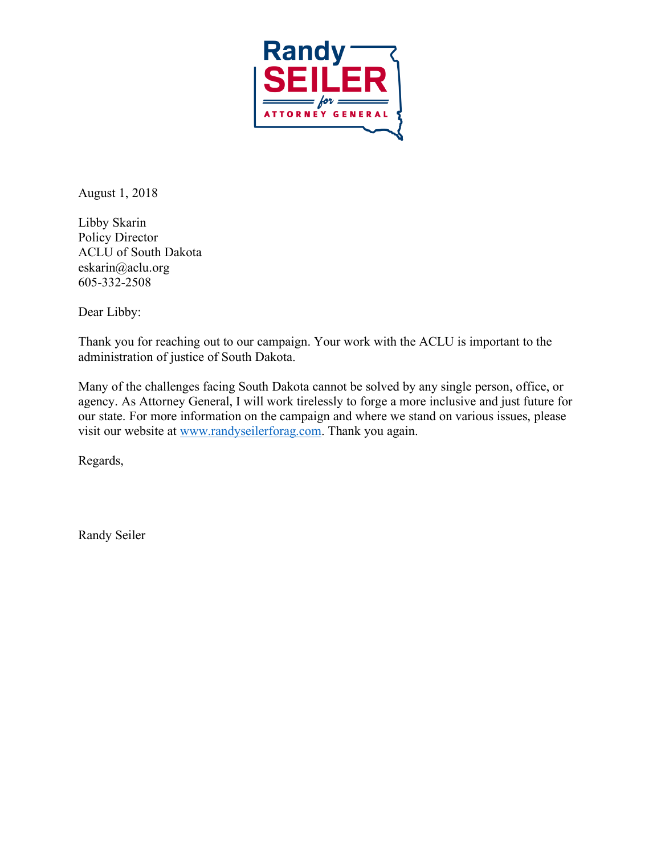

August 1, 2018

Libby Skarin Policy Director ACLU of South Dakota eskarin@aclu.org 605-332-2508

Dear Libby:

Thank you for reaching out to our campaign. Your work with the ACLU is important to the administration of justice of South Dakota.

Many of the challenges facing South Dakota cannot be solved by any single person, office, or agency. As Attorney General, I will work tirelessly to forge a more inclusive and just future for our state. For more information on the campaign and where we stand on various issues, please visit our website at www.randyseilerforag.com. Thank you again.

Regards,

Randy Seiler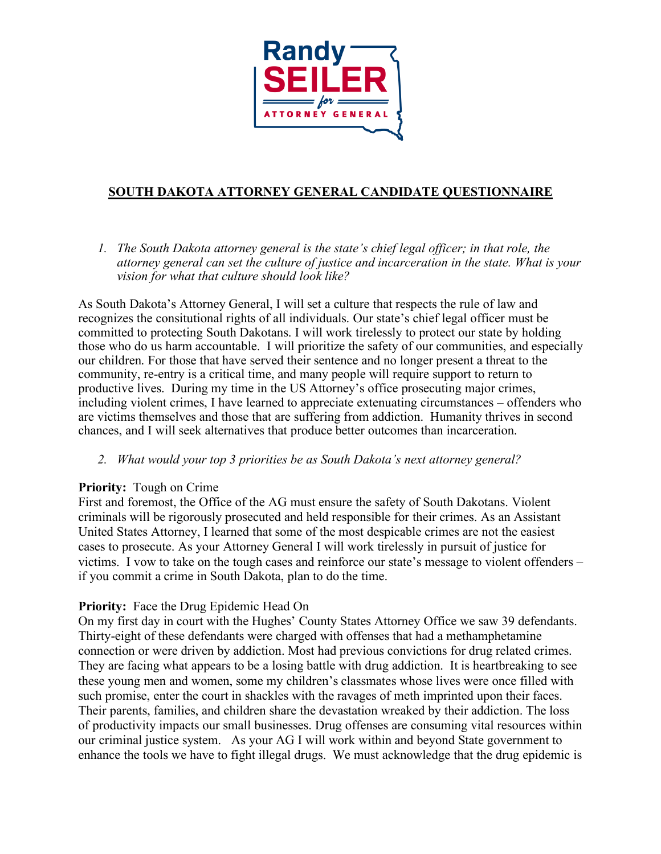

# **SOUTH DAKOTA ATTORNEY GENERAL CANDIDATE QUESTIONNAIRE**

*1. The South Dakota attorney general is the state's chief legal officer; in that role, the attorney general can set the culture of justice and incarceration in the state. What is your vision for what that culture should look like?*

As South Dakota's Attorney General, I will set a culture that respects the rule of law and recognizes the consitutional rights of all individuals. Our state's chief legal officer must be committed to protecting South Dakotans. I will work tirelessly to protect our state by holding those who do us harm accountable. I will prioritize the safety of our communities, and especially our children. For those that have served their sentence and no longer present a threat to the community, re-entry is a critical time, and many people will require support to return to productive lives. During my time in the US Attorney's office prosecuting major crimes, including violent crimes, I have learned to appreciate extenuating circumstances – offenders who are victims themselves and those that are suffering from addiction. Humanity thrives in second chances, and I will seek alternatives that produce better outcomes than incarceration.

*2. What would your top 3 priorities be as South Dakota's next attorney general?*

#### **Priority:** Tough on Crime

First and foremost, the Office of the AG must ensure the safety of South Dakotans. Violent criminals will be rigorously prosecuted and held responsible for their crimes. As an Assistant United States Attorney, I learned that some of the most despicable crimes are not the easiest cases to prosecute. As your Attorney General I will work tirelessly in pursuit of justice for victims. I vow to take on the tough cases and reinforce our state's message to violent offenders – if you commit a crime in South Dakota, plan to do the time.

#### **Priority:** Face the Drug Epidemic Head On

On my first day in court with the Hughes' County States Attorney Office we saw 39 defendants. Thirty-eight of these defendants were charged with offenses that had a methamphetamine connection or were driven by addiction. Most had previous convictions for drug related crimes. They are facing what appears to be a losing battle with drug addiction. It is heartbreaking to see these young men and women, some my children's classmates whose lives were once filled with such promise, enter the court in shackles with the ravages of meth imprinted upon their faces. Their parents, families, and children share the devastation wreaked by their addiction. The loss of productivity impacts our small businesses. Drug offenses are consuming vital resources within our criminal justice system. As your AG I will work within and beyond State government to enhance the tools we have to fight illegal drugs. We must acknowledge that the drug epidemic is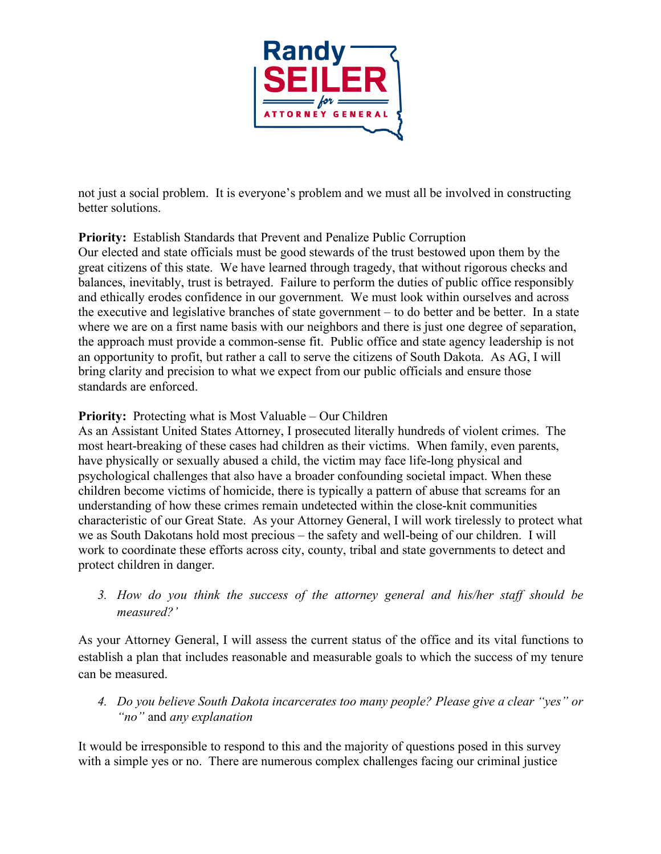

not just a social problem. It is everyone's problem and we must all be involved in constructing better solutions.

## **Priority:** Establish Standards that Prevent and Penalize Public Corruption

Our elected and state officials must be good stewards of the trust bestowed upon them by the great citizens of this state. We have learned through tragedy, that without rigorous checks and balances, inevitably, trust is betrayed. Failure to perform the duties of public office responsibly and ethically erodes confidence in our government. We must look within ourselves and across the executive and legislative branches of state government – to do better and be better. In a state where we are on a first name basis with our neighbors and there is just one degree of separation, the approach must provide a common-sense fit. Public office and state agency leadership is not an opportunity to profit, but rather a call to serve the citizens of South Dakota. As AG, I will bring clarity and precision to what we expect from our public officials and ensure those standards are enforced.

### **Priority:** Protecting what is Most Valuable – Our Children

As an Assistant United States Attorney, I prosecuted literally hundreds of violent crimes. The most heart-breaking of these cases had children as their victims. When family, even parents, have physically or sexually abused a child, the victim may face life-long physical and psychological challenges that also have a broader confounding societal impact. When these children become victims of homicide, there is typically a pattern of abuse that screams for an understanding of how these crimes remain undetected within the close-knit communities characteristic of our Great State. As your Attorney General, I will work tirelessly to protect what we as South Dakotans hold most precious – the safety and well-being of our children. I will work to coordinate these efforts across city, county, tribal and state governments to detect and protect children in danger.

*3. How do you think the success of the attorney general and his/her staff should be measured?'*

As your Attorney General, I will assess the current status of the office and its vital functions to establish a plan that includes reasonable and measurable goals to which the success of my tenure can be measured.

*4. Do you believe South Dakota incarcerates too many people? Please give a clear "yes" or "no"* and *any explanation*

It would be irresponsible to respond to this and the majority of questions posed in this survey with a simple yes or no. There are numerous complex challenges facing our criminal justice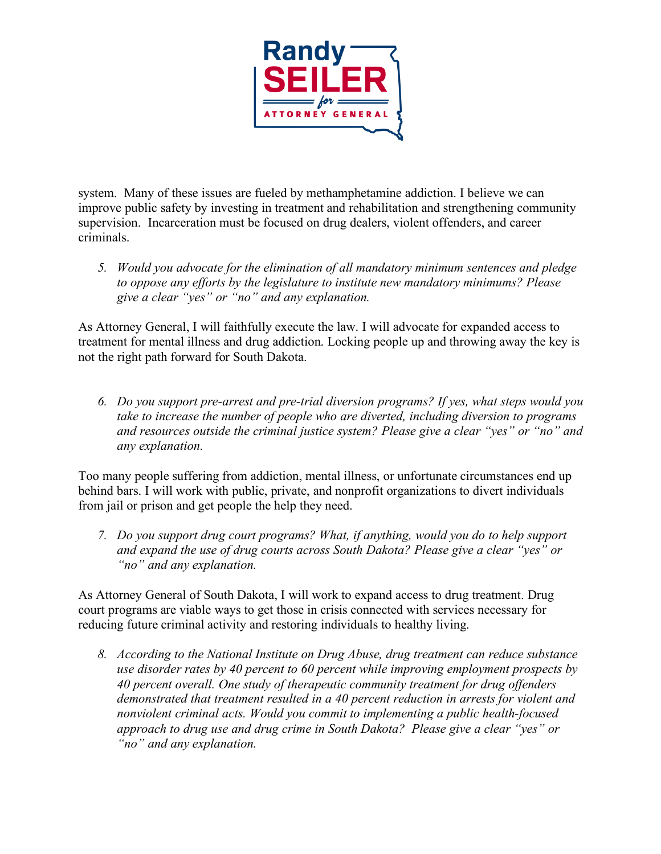

system. Many of these issues are fueled by methamphetamine addiction. I believe we can improve public safety by investing in treatment and rehabilitation and strengthening community supervision. Incarceration must be focused on drug dealers, violent offenders, and career criminals.

*5. Would you advocate for the elimination of all mandatory minimum sentences and pledge to oppose any efforts by the legislature to institute new mandatory minimums? Please give a clear "yes" or "no" and any explanation.* 

As Attorney General, I will faithfully execute the law. I will advocate for expanded access to treatment for mental illness and drug addiction. Locking people up and throwing away the key is not the right path forward for South Dakota.

*6. Do you support pre-arrest and pre-trial diversion programs? If yes, what steps would you take to increase the number of people who are diverted, including diversion to programs and resources outside the criminal justice system? Please give a clear "yes" or "no" and any explanation.*

Too many people suffering from addiction, mental illness, or unfortunate circumstances end up behind bars. I will work with public, private, and nonprofit organizations to divert individuals from jail or prison and get people the help they need.

*7. Do you support drug court programs? What, if anything, would you do to help support and expand the use of drug courts across South Dakota? Please give a clear "yes" or "no" and any explanation.* 

As Attorney General of South Dakota, I will work to expand access to drug treatment. Drug court programs are viable ways to get those in crisis connected with services necessary for reducing future criminal activity and restoring individuals to healthy living.

*8. According to the National Institute on Drug Abuse, drug treatment can reduce substance use disorder rates by 40 percent to 60 percent while improving employment prospects by 40 percent overall. One study of therapeutic community treatment for drug offenders demonstrated that treatment resulted in a 40 percent reduction in arrests for violent and nonviolent criminal acts. Would you commit to implementing a public health-focused approach to drug use and drug crime in South Dakota? Please give a clear "yes" or "no" and any explanation.*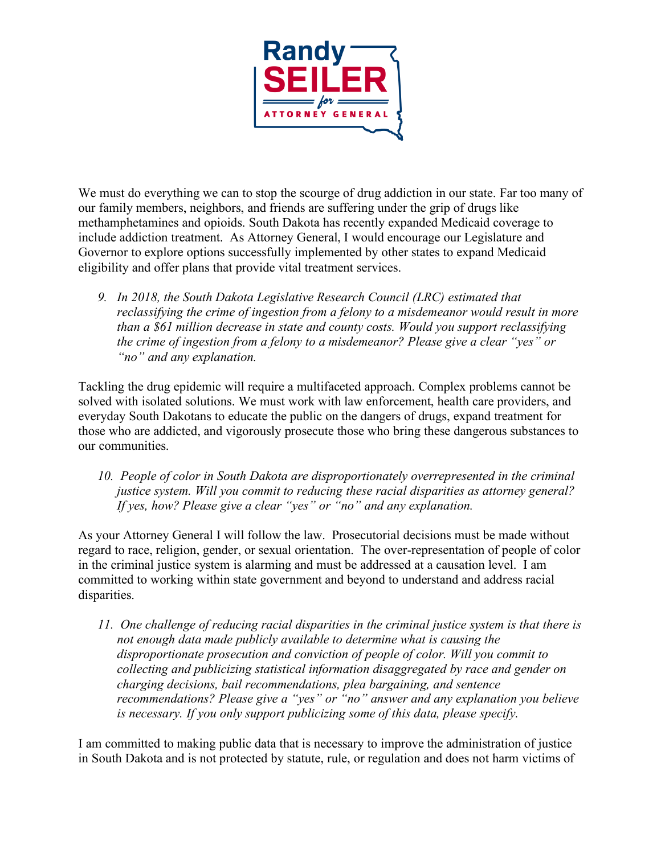

We must do everything we can to stop the scourge of drug addiction in our state. Far too many of our family members, neighbors, and friends are suffering under the grip of drugs like methamphetamines and opioids. South Dakota has recently expanded Medicaid coverage to include addiction treatment. As Attorney General, I would encourage our Legislature and Governor to explore options successfully implemented by other states to expand Medicaid eligibility and offer plans that provide vital treatment services.

*9. In 2018, the South Dakota Legislative Research Council (LRC) estimated that reclassifying the crime of ingestion from a felony to a misdemeanor would result in more than a \$61 million decrease in state and county costs. Would you support reclassifying the crime of ingestion from a felony to a misdemeanor? Please give a clear "yes" or "no" and any explanation.* 

Tackling the drug epidemic will require a multifaceted approach. Complex problems cannot be solved with isolated solutions. We must work with law enforcement, health care providers, and everyday South Dakotans to educate the public on the dangers of drugs, expand treatment for those who are addicted, and vigorously prosecute those who bring these dangerous substances to our communities.

*10. People of color in South Dakota are disproportionately overrepresented in the criminal justice system. Will you commit to reducing these racial disparities as attorney general? If yes, how? Please give a clear "yes" or "no" and any explanation.*

As your Attorney General I will follow the law. Prosecutorial decisions must be made without regard to race, religion, gender, or sexual orientation. The over-representation of people of color in the criminal justice system is alarming and must be addressed at a causation level. I am committed to working within state government and beyond to understand and address racial disparities.

*11. One challenge of reducing racial disparities in the criminal justice system is that there is not enough data made publicly available to determine what is causing the disproportionate prosecution and conviction of people of color. Will you commit to collecting and publicizing statistical information disaggregated by race and gender on charging decisions, bail recommendations, plea bargaining, and sentence recommendations? Please give a "yes" or "no" answer and any explanation you believe is necessary. If you only support publicizing some of this data, please specify.*

I am committed to making public data that is necessary to improve the administration of justice in South Dakota and is not protected by statute, rule, or regulation and does not harm victims of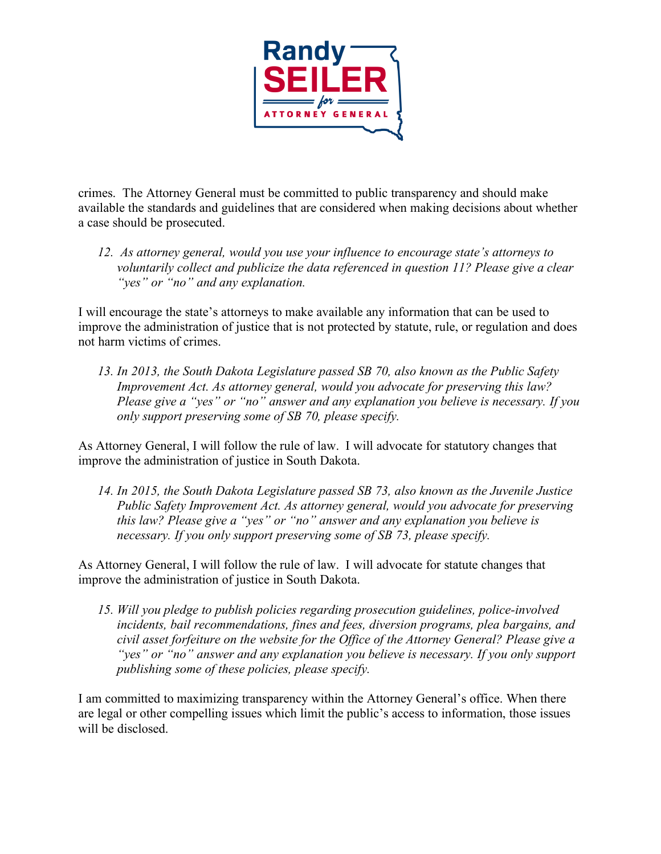

crimes. The Attorney General must be committed to public transparency and should make available the standards and guidelines that are considered when making decisions about whether a case should be prosecuted.

*12. As attorney general, would you use your influence to encourage state's attorneys to voluntarily collect and publicize the data referenced in question 11? Please give a clear "yes" or "no" and any explanation.*

I will encourage the state's attorneys to make available any information that can be used to improve the administration of justice that is not protected by statute, rule, or regulation and does not harm victims of crimes.

*13. In 2013, the South Dakota Legislature passed SB 70, also known as the Public Safety Improvement Act. As attorney general, would you advocate for preserving this law? Please give a "yes" or "no" answer and any explanation you believe is necessary. If you only support preserving some of SB 70, please specify.*

As Attorney General, I will follow the rule of law. I will advocate for statutory changes that improve the administration of justice in South Dakota.

*14. In 2015, the South Dakota Legislature passed SB 73, also known as the Juvenile Justice Public Safety Improvement Act. As attorney general, would you advocate for preserving this law? Please give a "yes" or "no" answer and any explanation you believe is necessary. If you only support preserving some of SB 73, please specify.*

As Attorney General, I will follow the rule of law. I will advocate for statute changes that improve the administration of justice in South Dakota.

*15. Will you pledge to publish policies regarding prosecution guidelines, police-involved incidents, bail recommendations, fines and fees, diversion programs, plea bargains, and civil asset forfeiture on the website for the Office of the Attorney General? Please give a "yes" or "no" answer and any explanation you believe is necessary. If you only support publishing some of these policies, please specify.*

I am committed to maximizing transparency within the Attorney General's office. When there are legal or other compelling issues which limit the public's access to information, those issues will be disclosed.